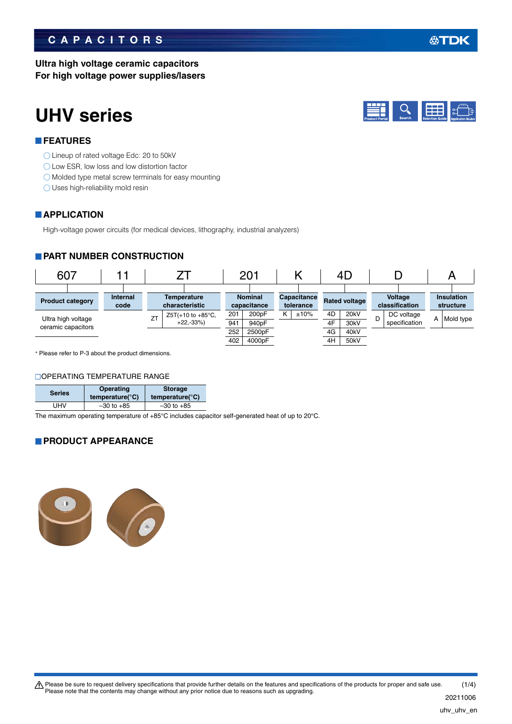### **CAPACITORS**

### **Ultra high voltage ceramic capacitors For high voltage power supplies/lasers**

**UHV series**

### **FEATURES**

- Lineup of rated voltage Edc: 20 to 50kV
- ◯ Low ESR, low loss and low distortion factor
- Molded type metal screw terminals for easy mounting
- O Uses high-reliability mold resin

### **APPLICATION**

High-voltage power circuits (for medical devices, lithography, industrial analyzers)

### **PART NUMBER CONSTRUCTION**



Please refer to P-3 about the product dimensions.

### **OPERATING TEMPERATURE RANGE**

| <b>Series</b> | Operating<br>temperature( $\degree$ C) | <b>Storage</b><br>temperature( $\degree$ C) |  |  |
|---------------|----------------------------------------|---------------------------------------------|--|--|
| UHV           | $-30$ to $+85$                         | $-30$ to $+85$                              |  |  |

The maximum operating temperature of +85°C includes capacitor self-generated heat of up to 20°C.

### **PRODUCT APPEARANCE**



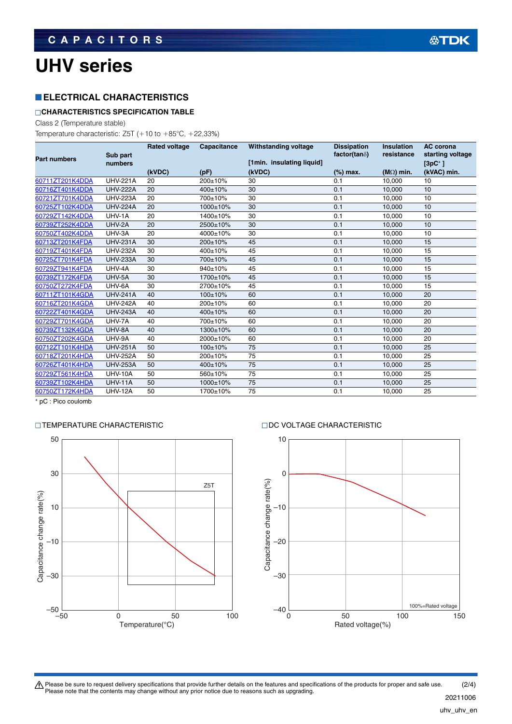# **UHV series**

### **ELECTRICAL CHARACTERISTICS**

### **CHARACTERISTICS SPECIFICATION TABLE**

Class 2 (Temperature stable)

Temperature characteristic:  $Z5T$  (+10 to +85°C, +22,33%)

|                     |                 | <b>Rated voltage</b> | Capacitance | <b>Withstanding voltage</b> | <b>Dissipation</b>    | <b>Insulation</b>  | <b>AC</b> corona |
|---------------------|-----------------|----------------------|-------------|-----------------------------|-----------------------|--------------------|------------------|
| <b>Part numbers</b> | Sub part        |                      |             |                             | factor(tan $\delta$ ) | resistance         | starting voltage |
|                     | numbers         |                      |             | [1min. insulating liquid]   |                       |                    | $[3pC^*]$        |
|                     |                 | (kVDC)               | (pF)        | (kVDC)                      | (%) max.              | ( $M\Omega$ ) min. | (kVAC) min.      |
| 60711ZT201K4DDA     | <b>UHV-221A</b> | 20                   | 200±10%     | 30                          | 0.1                   | 10,000             | 10               |
| 60716ZT401K4DDA     | <b>UHV-222A</b> | 20                   | 400±10%     | 30                          | 0.1                   | 10,000             | 10               |
| 60721ZT701K4DDA     | <b>UHV-223A</b> | 20                   | 700±10%     | 30                          | 0.1                   | 10,000             | 10               |
| 60725ZT102K4DDA     | <b>UHV-224A</b> | 20                   | 1000±10%    | 30                          | 0.1                   | 10,000             | 10               |
| 60729ZT142K4DDA     | UHV-1A          | 20                   | 1400±10%    | 30                          | 0.1                   | 10,000             | 10               |
| 60739ZT252K4DDA     | UHV-2A          | 20                   | 2500±10%    | 30                          | 0.1                   | 10,000             | 10               |
| 60750ZT402K4DDA     | UHV-3A          | 20                   | 4000±10%    | 30                          | 0.1                   | 10,000             | 10               |
| 60713ZT201K4FDA     | <b>UHV-231A</b> | 30                   | 200±10%     | 45                          | 0.1                   | 10,000             | 15               |
| 60719ZT401K4FDA     | <b>UHV-232A</b> | 30                   | 400±10%     | 45                          | 0.1                   | 10,000             | 15               |
| 60725ZT701K4FDA     | <b>UHV-233A</b> | 30                   | 700±10%     | 45                          | 0.1                   | 10,000             | 15               |
| 60729ZT941K4FDA     | UHV-4A          | 30                   | 940±10%     | 45                          | 0.1                   | 10,000             | 15               |
| 60739ZT172K4FDA     | UHV-5A          | 30                   | 1700±10%    | 45                          | 0.1                   | 10,000             | 15               |
| 60750ZT272K4FDA     | UHV-6A          | 30                   | 2700±10%    | 45                          | 0.1                   | 10,000             | 15               |
| 60711ZT101K4GDA     | <b>UHV-241A</b> | 40                   | $100+10%$   | 60                          | 0.1                   | 10,000             | 20               |
| 60716ZT201K4GDA     | <b>UHV-242A</b> | 40                   | 200±10%     | 60                          | 0.1                   | 10,000             | 20               |
| 60722ZT401K4GDA     | <b>UHV-243A</b> | 40                   | 400±10%     | 60                          | 0.1                   | 10,000             | 20               |
| 60729ZT701K4GDA     | UHV-7A          | 40                   | 700±10%     | 60                          | 0.1                   | 10,000             | 20               |
| 60739ZT132K4GDA     | UHV-8A          | 40                   | 1300±10%    | 60                          | 0.1                   | 10,000             | 20               |
| 60750ZT202K4GDA     | UHV-9A          | 40                   | 2000±10%    | 60                          | 0.1                   | 10,000             | 20               |
| 60712ZT101K4HDA     | <b>UHV-251A</b> | 50                   | $100+10%$   | 75                          | 0.1                   | 10,000             | 25               |
| 60718ZT201K4HDA     | <b>UHV-252A</b> | 50                   | 200±10%     | 75                          | 0.1                   | 10,000             | 25               |
| 60726ZT401K4HDA     | <b>UHV-253A</b> | 50                   | 400±10%     | 75                          | 0.1                   | 10,000             | 25               |
| 60729ZT561K4HDA     | <b>UHV-10A</b>  | 50                   | 560±10%     | 75                          | 0.1                   | 10,000             | 25               |
| 60739ZT102K4HDA     | <b>UHV-11A</b>  | 50                   | 1000±10%    | 75                          | 0.1                   | 10,000             | 25               |
| 60750ZT172K4HDA     | <b>UHV-12A</b>  | 50                   | 1700±10%    | 75                          | 0.1                   | 10,000             | 25               |
|                     |                 |                      |             |                             |                       |                    |                  |

pC : Pico coulomb

### TEMPERATURE CHARACTERISTIC DC VOLTAGE CHARACTERISTIC



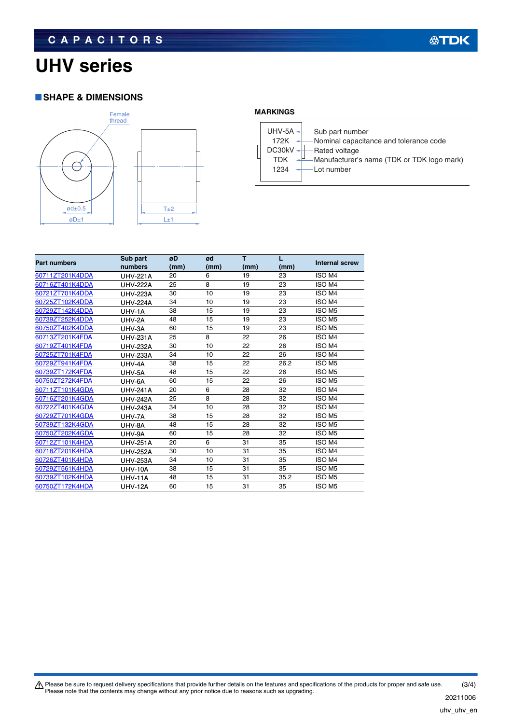# **UHV series**

### **SHAPE & DIMENSIONS**



### **MARKINGS**

|  | UHV-5A $-$<br>172K<br>$DC30kV -$<br>TDK<br>1234 | -Sub part number<br>-Nominal capacitance and tolerance code<br>-Rated voltage<br>-Manufacturer's name (TDK or TDK logo mark)<br>·Lot number |
|--|-------------------------------------------------|---------------------------------------------------------------------------------------------------------------------------------------------|
|--|-------------------------------------------------|---------------------------------------------------------------------------------------------------------------------------------------------|

| <b>Part numbers</b> | Sub part<br>numbers | øD<br>(mm) | ød<br>(mm) | т<br>(mm) | (mm) | <b>Internal screw</b> |
|---------------------|---------------------|------------|------------|-----------|------|-----------------------|
| 60711ZT201K4DDA     | <b>UHV-221A</b>     | 20         | 6          | 19        | 23   | ISO M4                |
| 60716ZT401K4DDA     | <b>UHV-222A</b>     | 25         | 8          | 19        | 23   | ISO M4                |
| 60721ZT701K4DDA     | <b>UHV-223A</b>     | 30         | 10         | 19        | 23   | ISO M4                |
| 60725ZT102K4DDA     | <b>UHV-224A</b>     | 34         | 10         | 19        | 23   | ISO M4                |
| 60729ZT142K4DDA     | UHV-1A              | 38         | 15         | 19        | 23   | ISO <sub>M5</sub>     |
| 60739ZT252K4DDA     | UHV-2A              | 48         | 15         | 19        | 23   | ISO <sub>M5</sub>     |
| 60750ZT402K4DDA     | UHV-3A              | 60         | 15         | 19        | 23   | ISO <sub>M5</sub>     |
| 60713ZT201K4FDA     | <b>UHV-231A</b>     | 25         | 8          | 22        | 26   | ISO M4                |
| 60719ZT401K4FDA     | <b>UHV-232A</b>     | 30         | 10         | 22        | 26   | ISO M4                |
| 60725ZT701K4FDA     | <b>UHV-233A</b>     | 34         | 10         | 22        | 26   | ISO M4                |
| 60729ZT941K4FDA     | UHV-4A              | 38         | 15         | 22        | 26.2 | ISO <sub>M5</sub>     |
| 60739ZT172K4FDA     | UHV-5A              | 48         | 15         | 22        | 26   | ISO <sub>M5</sub>     |
| 60750ZT272K4FDA     | UHV-6A              | 60         | 15         | 22        | 26   | ISO <sub>M5</sub>     |
| 60711ZT101K4GDA     | <b>UHV-241A</b>     | 20         | 6          | 28        | 32   | ISO M4                |
| 60716ZT201K4GDA     | <b>UHV-242A</b>     | 25         | 8          | 28        | 32   | ISO M4                |
| 60722ZT401K4GDA     | <b>UHV-243A</b>     | 34         | 10         | 28        | 32   | ISO M4                |
| 60729ZT701K4GDA     | UHV-7A              | 38         | 15         | 28        | 32   | ISO <sub>M5</sub>     |
| 60739ZT132K4GDA     | UHV-8A              | 48         | 15         | 28        | 32   | ISO <sub>M5</sub>     |
| 60750ZT202K4GDA     | UHV-9A              | 60         | 15         | 28        | 32   | ISO <sub>M5</sub>     |
| 60712ZT101K4HDA     | <b>UHV-251A</b>     | 20         | 6          | 31        | 35   | ISO M4                |
| 60718ZT201K4HDA     | <b>UHV-252A</b>     | 30         | 10         | 31        | 35   | ISO M4                |
| 60726ZT401K4HDA     | <b>UHV-253A</b>     | 34         | 10         | 31        | 35   | ISO M4                |
| 60729ZT561K4HDA     | <b>UHV-10A</b>      | 38         | 15         | 31        | 35   | ISO <sub>M5</sub>     |
| 60739ZT102K4HDA     | <b>UHV-11A</b>      | 48         | 15         | 31        | 35.2 | ISO <sub>M5</sub>     |
| 60750ZT172K4HDA     | <b>UHV-12A</b>      | 60         | 15         | 31        | 35   | ISO <sub>M5</sub>     |

(3/4) Please be sure to request delivery specifications that provide further details on the features and specifications of the products for proper and safe use.<br>Please note that the contents may change without any prior notice d